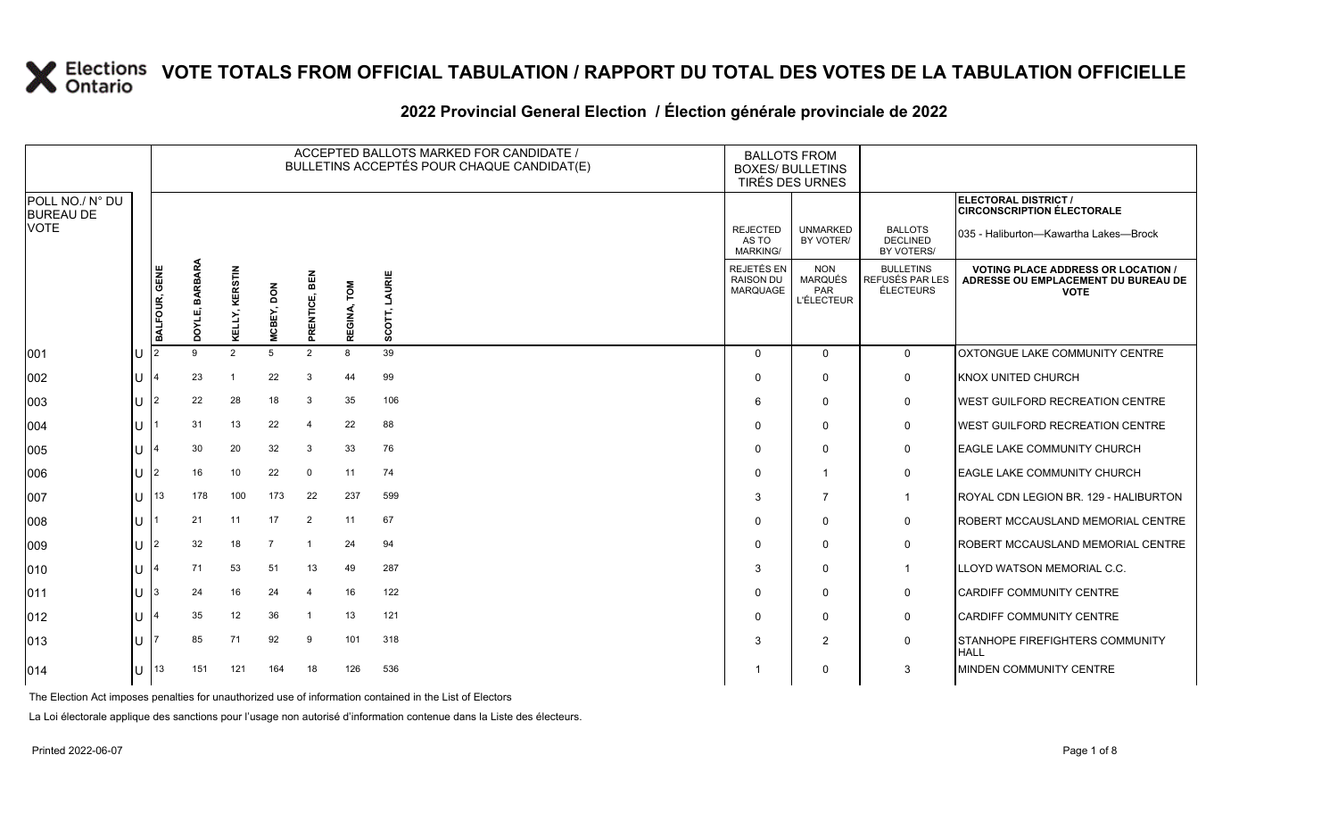#### **2022 Provincial General Election / Élection générale provinciale de 2022**

|                                     |               |                      |                         |                      |                         |                | ACCEPTED BALLOTS MARKED FOR CANDIDATE /<br>BULLETINS ACCEPTÉS POUR CHAQUE CANDIDAT(E) | <b>BALLOTS FROM</b><br><b>BOXES/ BULLETINS</b><br>TIRÉS DES URNES |                                                   |                                                  |                                                                                                 |
|-------------------------------------|---------------|----------------------|-------------------------|----------------------|-------------------------|----------------|---------------------------------------------------------------------------------------|-------------------------------------------------------------------|---------------------------------------------------|--------------------------------------------------|-------------------------------------------------------------------------------------------------|
| POLL NO./ N° DU<br><b>BUREAU DE</b> |               |                      |                         |                      |                         |                |                                                                                       |                                                                   |                                                   |                                                  | ELECTORAL DISTRICT /<br><b>CIRCONSCRIPTION ÉLECTORALE</b>                                       |
| <b>VOTE</b>                         |               |                      |                         |                      |                         |                |                                                                                       | <b>REJECTED</b><br>AS TO<br><b>MARKING/</b>                       | <b>UNMARKED</b><br>BY VOTER/                      | <b>BALLOTS</b><br><b>DECLINED</b><br>BY VOTERS/  | 035 - Haliburton-Kawartha Lakes-Brock                                                           |
|                                     | BALFOUR, GENE | BARBARA<br>шî<br>ροχ | KERSTIN<br>⊻            | <b>NOQ</b><br>MCBEY, | <b>BEN</b><br>PRENTICE, | LOW<br>REGINA, | LAURIE<br>SCOT,                                                                       | REJETÉS EN<br><b>RAISON DU</b><br><b>MARQUAGE</b>                 | <b>NON</b><br>MARQUÉS<br>PAR<br><b>L'ÉLECTEUR</b> | <b>BULLETINS</b><br>REFUSÉS PAR LES<br>ÉLECTEURS | <b>VOTING PLACE ADDRESS OR LOCATION /</b><br>ADRESSE OU EMPLACEMENT DU BUREAU DE<br><b>VOTE</b> |
| 001                                 |               | 9                    | 2                       | 5                    | 2                       | 8              | 39                                                                                    | $\Omega$                                                          | $\Omega$                                          | $\mathbf{0}$                                     | OXTONGUE LAKE COMMUNITY CENTRE                                                                  |
| 002                                 |               | 23                   | $\overline{\mathbf{1}}$ | 22                   | 3                       | 44             | 99                                                                                    | $\Omega$                                                          | $\mathbf{0}$                                      | 0                                                | <b>KNOX UNITED CHURCH</b>                                                                       |
| 003                                 |               | 22                   | 28                      | 18                   | 3                       | 35             | 106                                                                                   | 6                                                                 | $\Omega$                                          | 0                                                | <b>WEST GUILFORD RECREATION CENTRE</b>                                                          |
| 004                                 |               | 31                   | 13                      | 22                   | 4                       | 22             | 88                                                                                    | $\Omega$                                                          | $\Omega$                                          | 0                                                | <b>WEST GUILFORD RECREATION CENTRE</b>                                                          |
| 005                                 |               | 30                   | 20                      | 32                   | 3                       | 33             | 76                                                                                    | $\Omega$                                                          | $\Omega$                                          | $\mathbf 0$                                      | <b>EAGLE LAKE COMMUNITY CHURCH</b>                                                              |
| 006                                 |               | 16                   | 10                      | 22                   | $\mathbf 0$             | 11             | 74                                                                                    | $\Omega$                                                          | $\overline{1}$                                    | 0                                                | <b>EAGLE LAKE COMMUNITY CHURCH</b>                                                              |
| 007                                 | 13            | 178                  | 100                     | 173                  | 22                      | 237            | 599                                                                                   | 3                                                                 | $\overline{7}$                                    | $\mathbf 1$                                      | ROYAL CDN LEGION BR. 129 - HALIBURTON                                                           |
| 008                                 |               | 21                   | 11                      | 17                   | 2                       | 11             | 67                                                                                    | $\Omega$                                                          | $\Omega$                                          | $\mathbf 0$                                      | ROBERT MCCAUSLAND MEMORIAL CENTRE                                                               |
| 009                                 |               | 32                   | 18                      | $\overline{7}$       | $\mathbf{1}$            | 24             | 94                                                                                    | $\Omega$                                                          | $\mathbf{0}$                                      | 0                                                | ROBERT MCCAUSLAND MEMORIAL CENTRE                                                               |
| 010                                 |               | 71                   | 53                      | 51                   | 13                      | 49             | 287                                                                                   | 3                                                                 | $\Omega$                                          | $\mathbf{1}$                                     | LLOYD WATSON MEMORIAL C.C.                                                                      |
| 011                                 | IЗ            | 24                   | 16                      | 24                   | 4                       | 16             | 122                                                                                   | $\Omega$                                                          | $\Omega$                                          | 0                                                | <b>CARDIFF COMMUNITY CENTRE</b>                                                                 |
| 012                                 |               | 35                   | 12                      | 36                   | -1                      | 13             | 121                                                                                   | $\Omega$                                                          | 0                                                 | 0                                                | <b>CARDIFF COMMUNITY CENTRE</b>                                                                 |
| 013                                 |               | 85                   | 71                      | 92                   | 9                       | 101            | 318                                                                                   | 3                                                                 | 2                                                 | $\mathbf 0$                                      | <b>STANHOPE FIREFIGHTERS COMMUNITY</b><br><b>HALL</b>                                           |
| 014                                 | 13            | 151                  | 121                     | 164                  | 18                      | 126            | 536                                                                                   |                                                                   | $\Omega$                                          | 3                                                | MINDEN COMMUNITY CENTRE                                                                         |

The Election Act imposes penalties for unauthorized use of information contained in the List of Electors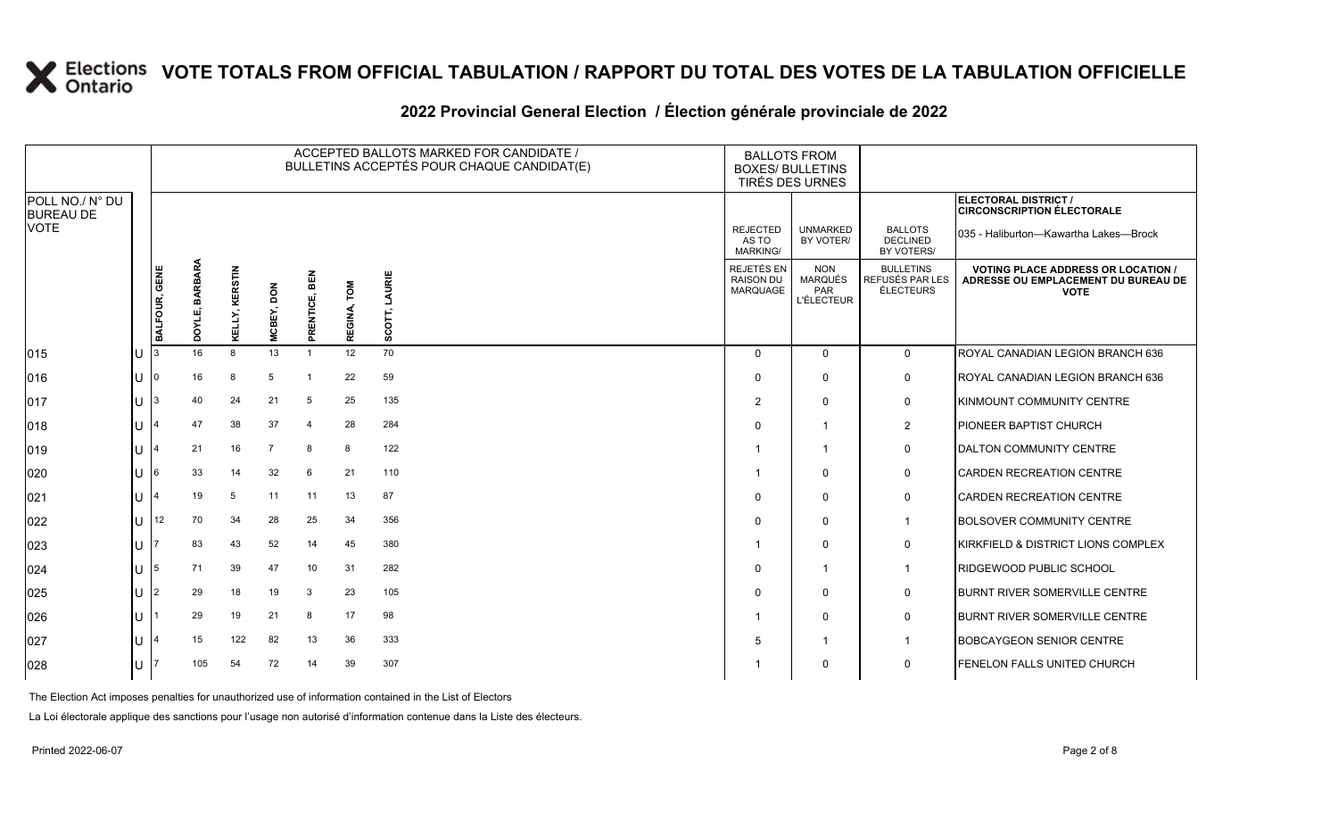#### **2022 Provincial General Election / Élection générale provinciale de 2022**

|                                     |        |               |                   |                |                |                                   |                | ACCEPTED BALLOTS MARKED FOR CANDIDATE /<br>BULLETINS ACCEPTÉS POUR CHAQUE CANDIDAT(E) | <b>BALLOTS FROM</b><br><b>BOXES/ BULLETINS</b><br>TIRÉS DES URNES |                                                          |                                                  |                                                                                                 |
|-------------------------------------|--------|---------------|-------------------|----------------|----------------|-----------------------------------|----------------|---------------------------------------------------------------------------------------|-------------------------------------------------------------------|----------------------------------------------------------|--------------------------------------------------|-------------------------------------------------------------------------------------------------|
| POLL NO./ N° DU<br><b>BUREAU DE</b> |        |               |                   |                |                |                                   |                |                                                                                       |                                                                   |                                                          |                                                  | ELECTORAL DISTRICT /<br><b>CIRCONSCRIPTION ÉLECTORALE</b>                                       |
| <b>VOTE</b>                         |        |               |                   |                |                |                                   |                |                                                                                       | <b>REJECTED</b><br>AS TO<br>MARKING/                              | <b>UNMARKED</b><br>BY VOTER/                             | <b>BALLOTS</b><br><b>DECLINED</b><br>BY VOTERS/  | 035 - Haliburton-Kawartha Lakes-Brock                                                           |
|                                     |        | BALFOUR, GENE | BARBARA<br>DOYLE, | KELLY, KERSTIN | MCBEY, DON     | <b>BEN</b><br>ENTICE,<br>œ.<br>Δ. | TOM<br>REGINA, | LAURIE<br>$SCOTT$ ,                                                                   | <b>REJETÉS EN</b><br><b>RAISON DU</b><br>MARQUAGE                 | <b>NON</b><br><b>MARQUÉS</b><br>PAR<br><b>L'ÉLECTEUR</b> | <b>BULLETINS</b><br>REFUSÉS PAR LES<br>ÉLECTEURS | <b>VOTING PLACE ADDRESS OR LOCATION /</b><br>ADRESSE OU EMPLACEMENT DU BUREAU DE<br><b>VOTE</b> |
| 015                                 | U      |               | 16                | 8              | 13             |                                   | 12             | 70                                                                                    | $\Omega$                                                          | $\mathbf{0}$                                             | $\mathbf 0$                                      | ROYAL CANADIAN LEGION BRANCH 636                                                                |
| 016                                 | lU.    | l0            | 16                | 8              | 5              |                                   | 22             | 59                                                                                    | $\Omega$                                                          | $\Omega$                                                 | 0                                                | ROYAL CANADIAN LEGION BRANCH 636                                                                |
| 017                                 | U      | I3            | 40                | 24             | 21             | 5                                 | 25             | 135                                                                                   | $\overline{2}$                                                    | $\Omega$                                                 | $\mathbf 0$                                      | <b>KINMOUNT COMMUNITY CENTRE</b>                                                                |
| 018                                 | ΠT     |               | 47                | 38             | 37             | $\overline{4}$                    | 28             | 284                                                                                   | $\Omega$                                                          | -1                                                       | $\overline{2}$                                   | <b>PIONEER BAPTIST CHURCH</b>                                                                   |
| 019                                 | $\cup$ |               | 21                | 16             | $\overline{7}$ | 8                                 | 8              | 122                                                                                   |                                                                   | -1                                                       | 0                                                | <b>DALTON COMMUNITY CENTRE</b>                                                                  |
| 020                                 | U      | I6            | 33                | 14             | 32             | 6                                 | 21             | 110                                                                                   |                                                                   | $\mathbf{0}$                                             | 0                                                | <b>CARDEN RECREATION CENTRE</b>                                                                 |
| 021                                 | lU.    |               | 19                | 5              | 11             | 11                                | 13             | 87                                                                                    | $\Omega$                                                          | $\mathbf{0}$                                             | 0                                                | <b>CARDEN RECREATION CENTRE</b>                                                                 |
| 022                                 | U      | 12            | 70                | 34             | 28             | 25                                | 34             | 356                                                                                   | $\Omega$                                                          | $\mathbf 0$                                              | $\mathbf 1$                                      | <b>BOLSOVER COMMUNITY CENTRE</b>                                                                |
| 023                                 | U      |               | 83                | 43             | 52             | 14                                | 45             | 380                                                                                   |                                                                   | $\Omega$                                                 | 0                                                | <b>KIRKFIELD &amp; DISTRICT LIONS COMPLEX</b>                                                   |
| 024                                 | U      | 15            | 71                | 39             | 47             | 10                                | 31             | 282                                                                                   | $\Omega$                                                          | -1                                                       | $\mathbf 1$                                      | <b>RIDGEWOOD PUBLIC SCHOOL</b>                                                                  |
| 025                                 | U      | l2            | 29                | 18             | 19             | 3                                 | 23             | 105                                                                                   | $\Omega$                                                          | $\mathbf{0}$                                             | 0                                                | <b>BURNT RIVER SOMERVILLE CENTRE</b>                                                            |
| 026                                 | lU.    |               | 29                | 19             | 21             | 8                                 | 17             | 98                                                                                    |                                                                   | $\mathbf{0}$                                             | 0                                                | <b>BURNT RIVER SOMERVILLE CENTRE</b>                                                            |
| 027                                 | U      |               | 15                | 122            | 82             | 13                                | 36             | 333                                                                                   | 5                                                                 | -1                                                       | $\mathbf 1$                                      | <b>BOBCAYGEON SENIOR CENTRE</b>                                                                 |
| 028                                 | U      |               | 105               | 54             | 72             | 14                                | 39             | 307                                                                                   |                                                                   | $\Omega$                                                 | $\mathbf 0$                                      | <b>FENELON FALLS UNITED CHURCH</b>                                                              |

The Election Act imposes penalties for unauthorized use of information contained in the List of Electors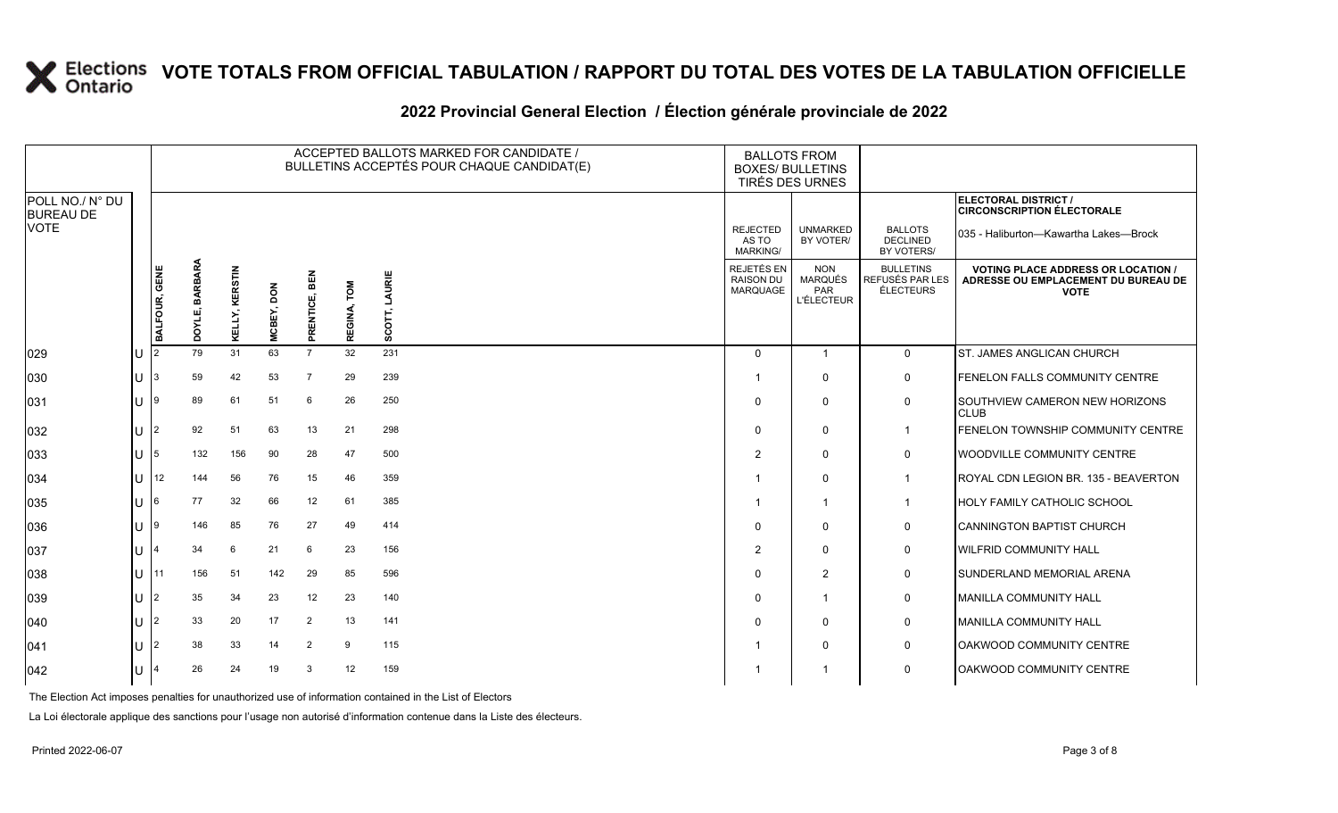#### **2022 Provincial General Election / Élection générale provinciale de 2022**

|                                     |     |                |                   |                |            |                      |                | ACCEPTED BALLOTS MARKED FOR CANDIDATE /<br>BULLETINS ACCEPTÉS POUR CHAQUE CANDIDAT(E) | <b>BOXES/ BULLETINS</b>                     | <b>BALLOTS FROM</b><br>TIRÉS DES URNES                   |                                                  |                                                                                                 |
|-------------------------------------|-----|----------------|-------------------|----------------|------------|----------------------|----------------|---------------------------------------------------------------------------------------|---------------------------------------------|----------------------------------------------------------|--------------------------------------------------|-------------------------------------------------------------------------------------------------|
| POLL NO./ N° DU<br><b>BUREAU DE</b> |     |                |                   |                |            |                      |                |                                                                                       |                                             |                                                          |                                                  | ELECTORAL DISTRICT /<br><b>CIRCONSCRIPTION ÉLECTORALE</b>                                       |
| <b>VOTE</b>                         |     |                |                   |                |            |                      |                |                                                                                       | <b>REJECTED</b><br>AS TO<br><b>MARKING/</b> | <b>UNMARKED</b><br>BY VOTER/                             | <b>BALLOTS</b><br><b>DECLINED</b><br>BY VOTERS/  | 035 - Haliburton-Kawartha Lakes-Brock                                                           |
|                                     |     | BALFOUR, GENE  | BARBARA<br>DOYLE, | KELLY, KERSTIN | MCBEY, DON | BEN<br>RENTICE,<br>ᄘ | LOW<br>REGINA, | LAURIE<br>5<br>S<br>ø,                                                                | REJETÉS EN<br><b>RAISON DU</b><br>MARQUAGE  | <b>NON</b><br><b>MARQUÉS</b><br>PAR<br><b>L'ÉLECTEUR</b> | <b>BULLETINS</b><br>REFUSÉS PAR LES<br>ÉLECTEURS | <b>VOTING PLACE ADDRESS OR LOCATION /</b><br>ADRESSE OU EMPLACEMENT DU BUREAU DE<br><b>VOTE</b> |
| 029                                 | IU  | 2              | 79                | 31             | 63         | $\overline{7}$       | 32             | 231                                                                                   | $\Omega$                                    | $\overline{1}$                                           | $\mathbf 0$                                      | ST. JAMES ANGLICAN CHURCH                                                                       |
| 030                                 | lu  |                | 59                | 42             | 53         | $\overline{7}$       | 29             | 239                                                                                   |                                             | $\Omega$                                                 | $\mathbf 0$                                      | FENELON FALLS COMMUNITY CENTRE                                                                  |
| 031                                 | Iυ  |                | 89                | 61             | 51         | 6                    | 26             | 250                                                                                   |                                             | $\mathbf{0}$                                             | $\mathbf 0$                                      | <b>SOUTHVIEW CAMERON NEW HORIZONS</b><br><b>CLUB</b>                                            |
| 032                                 | lu  | $\overline{2}$ | 92                | 51             | 63         | 13                   | 21             | 298                                                                                   | $\Omega$                                    | $\mathbf 0$                                              | $\mathbf{1}$                                     | FENELON TOWNSHIP COMMUNITY CENTRE                                                               |
| 033                                 | lu. | 5              | 132               | 156            | 90         | 28                   | 47             | 500                                                                                   | 2                                           | $\mathbf 0$                                              | $\mathbf 0$                                      | <b>WOODVILLE COMMUNITY CENTRE</b>                                                               |
| 034                                 | lu  | 12             | 144               | 56             | 76         | 15                   | 46             | 359                                                                                   |                                             | $\mathbf 0$                                              | $\overline{1}$                                   | ROYAL CDN LEGION BR. 135 - BEAVERTON                                                            |
| 035                                 | Iп  |                | 77                | 32             | 66         | 12                   | 61             | 385                                                                                   |                                             | $\overline{\mathbf{1}}$                                  | $\overline{1}$                                   | HOLY FAMILY CATHOLIC SCHOOL                                                                     |
| 036                                 | Iυ. | l 9            | 146               | 85             | 76         | 27                   | 49             | 414                                                                                   | $\Omega$                                    | $\mathbf 0$                                              | $\mathbf 0$                                      | CANNINGTON BAPTIST CHURCH                                                                       |
| 037                                 | lu  |                | 34                | 6              | 21         | 6                    | 23             | 156                                                                                   | $\overline{2}$                              | $\mathbf 0$                                              | $\mathsf{O}$                                     | <b>WILFRID COMMUNITY HALL</b>                                                                   |
| 038                                 | lu  | 11             | 156               | 51             | 142        | 29                   | 85             | 596                                                                                   | ∩                                           | $\overline{2}$                                           | $\mathbf 0$                                      | SUNDERLAND MEMORIAL ARENA                                                                       |
| 039                                 | lu  | 2              | 35                | 34             | 23         | 12                   | 23             | 140                                                                                   | $\Omega$                                    | $\overline{1}$                                           | $\mathbf 0$                                      | <b>IMANILLA COMMUNITY HALL</b>                                                                  |
| 040                                 | Iυ. | 2              | 33                | 20             | 17         | $\overline{2}$       | 13             | 141                                                                                   |                                             | $\mathbf 0$                                              | $\pmb{0}$                                        | MANILLA COMMUNITY HALL                                                                          |
| 041                                 | lu  |                | 38                | 33             | 14         | $\overline{2}$       | 9              | 115                                                                                   |                                             | $\mathbf 0$                                              | $\mathbf 0$                                      | OAKWOOD COMMUNITY CENTRE                                                                        |
| $ 042\rangle$                       | Iυ  |                | 26                | 24             | 19         | 3                    | 12             | 159                                                                                   |                                             |                                                          | $\mathbf 0$                                      | OAKWOOD COMMUNITY CENTRE                                                                        |

The Election Act imposes penalties for unauthorized use of information contained in the List of Electors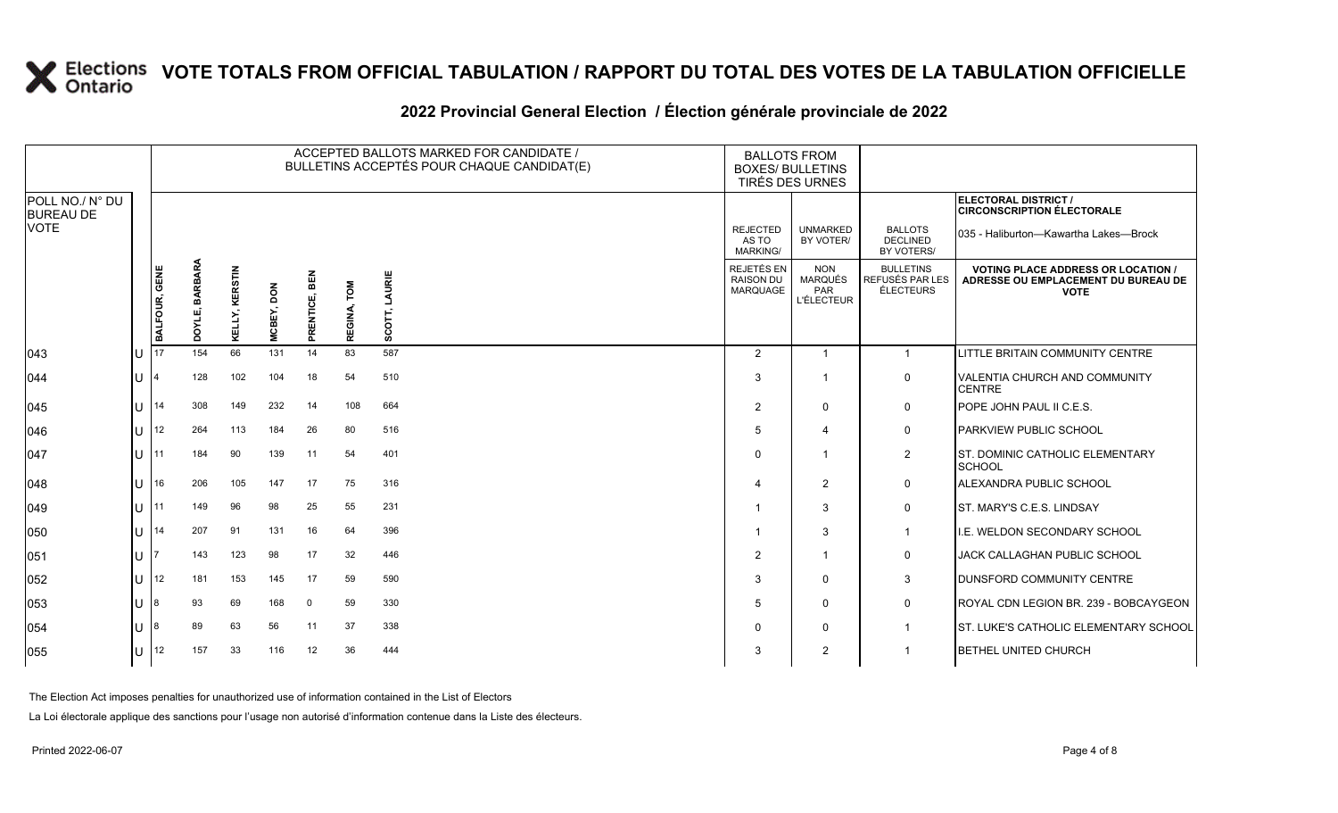#### **2022 Provincial General Election / Élection générale provinciale de 2022**

|                                     | ACCEPTED BALLOTS MARKED FOR CANDIDATE /<br>BULLETINS ACCEPTÉS POUR CHAQUE CANDIDAT(E) |               |                   |                |            |                            |                       | <b>BALLOTS FROM</b><br><b>BOXES/ BULLETINS</b><br>TIRÉS DES URNES |                                                   |                                                          |                                                  |                                                                                                 |
|-------------------------------------|---------------------------------------------------------------------------------------|---------------|-------------------|----------------|------------|----------------------------|-----------------------|-------------------------------------------------------------------|---------------------------------------------------|----------------------------------------------------------|--------------------------------------------------|-------------------------------------------------------------------------------------------------|
| POLL NO./ N° DU<br><b>BUREAU DE</b> |                                                                                       |               |                   |                |            |                            |                       |                                                                   |                                                   |                                                          |                                                  | ELECTORAL DISTRICT /<br><b>CIRCONSCRIPTION ÉLECTORALE</b>                                       |
| <b>VOTE</b>                         |                                                                                       |               |                   |                |            |                            |                       |                                                                   | <b>REJECTED</b><br>AS TO<br><b>MARKING/</b>       | <b>UNMARKED</b><br>BY VOTER/                             | <b>BALLOTS</b><br><b>DECLINED</b><br>BY VOTERS/  | 035 - Haliburton-Kawartha Lakes-Brock                                                           |
|                                     |                                                                                       | BALFOUR, GENE | BARBARA<br>DOYLE, | KELLY, KERSTIN | MCBEY, DON | <b>REN</b><br>ENTICE,<br>图 | <b>NOL</b><br>REGINA, | LAURIE<br>SCOT                                                    | REJETÉS EN<br><b>RAISON DU</b><br><b>MARQUAGE</b> | <b>NON</b><br><b>MARQUÉS</b><br>PAR<br><b>L'ÉLECTEUR</b> | <b>BULLETINS</b><br>REFUSÉS PAR LES<br>ÉLECTEURS | <b>VOTING PLACE ADDRESS OR LOCATION /</b><br>ADRESSE OU EMPLACEMENT DU BUREAU DE<br><b>VOTE</b> |
| $ 043\rangle$                       | ΙU                                                                                    | 17            | 154               | 66             | 131        | 14                         | 83                    | 587                                                               | $\overline{2}$                                    | 1                                                        | $\overline{1}$                                   | <b>LITTLE BRITAIN COMMUNITY CENTRE</b>                                                          |
| 044                                 | lΠ                                                                                    |               | 128               | 102            | 104        | 18                         | 54                    | 510                                                               | 3                                                 | 1                                                        | 0                                                | <b>VALENTIA CHURCH AND COMMUNITY</b><br><b>CENTRE</b>                                           |
| $ 045\rangle$                       | lu                                                                                    | 14            | 308               | 149            | 232        | 14                         | 108                   | 664                                                               | $\overline{2}$                                    | $\Omega$                                                 | 0                                                | POPE JOHN PAUL II C.E.S.                                                                        |
| 046                                 | IП                                                                                    | 12            | 264               | 113            | 184        | 26                         | 80                    | 516                                                               | 5                                                 | 4                                                        | 0                                                | <b>PARKVIEW PUBLIC SCHOOL</b>                                                                   |
| 047                                 | lu                                                                                    | 11            | 184               | 90             | 139        | 11                         | 54                    | 401                                                               | $\Omega$                                          | -1                                                       | $\overline{2}$                                   | ST. DOMINIC CATHOLIC ELEMENTARY<br>SCHOOL                                                       |
| 048                                 | lu                                                                                    | 16            | 206               | 105            | 147        | 17                         | 75                    | 316                                                               | $\Delta$                                          | $\overline{2}$                                           | 0                                                | ALEXANDRA PUBLIC SCHOOL                                                                         |
| $ 049\rangle$                       | lθ                                                                                    | 11            | 149               | 96             | 98         | 25                         | 55                    | 231                                                               |                                                   | 3                                                        | 0                                                | <b>ST. MARY'S C.E.S. LINDSAY</b>                                                                |
| 050                                 | IП                                                                                    | 14            | 207               | 91             | 131        | 16                         | 64                    | 396                                                               |                                                   | 3                                                        | $\overline{1}$                                   | LE. WELDON SECONDARY SCHOOL                                                                     |
| 051                                 | ΙU                                                                                    |               | 143               | 123            | 98         | 17                         | 32                    | 446                                                               | $\overline{2}$                                    | $\mathbf{1}$                                             | 0                                                | <b>JACK CALLAGHAN PUBLIC SCHOOL</b>                                                             |
| 052                                 | lu                                                                                    | 12            | 181               | 153            | 145        | 17                         | 59                    | 590                                                               | 3                                                 | $\Omega$                                                 | 3                                                | DUNSFORD COMMUNITY CENTRE                                                                       |
| 053                                 | lu                                                                                    |               | 93                | 69             | 168        | $\mathbf 0$                | 59                    | 330                                                               | 5                                                 | $\Omega$                                                 | 0                                                | ROYAL CDN LEGION BR. 239 - BOBCAYGEON                                                           |
| 054                                 | ΙU                                                                                    |               | 89                | 63             | 56         | 11                         | 37                    | 338                                                               | 0                                                 | 0                                                        | $\mathbf 1$                                      | <b>ST. LUKE'S CATHOLIC ELEMENTARY SCHOOL</b>                                                    |
| 055                                 | lυ                                                                                    | 12            | 157               | 33             | 116        | 12                         | 36                    | 444                                                               | 3                                                 | 2                                                        | 1                                                | <b>BETHEL UNITED CHURCH</b>                                                                     |

The Election Act imposes penalties for unauthorized use of information contained in the List of Electors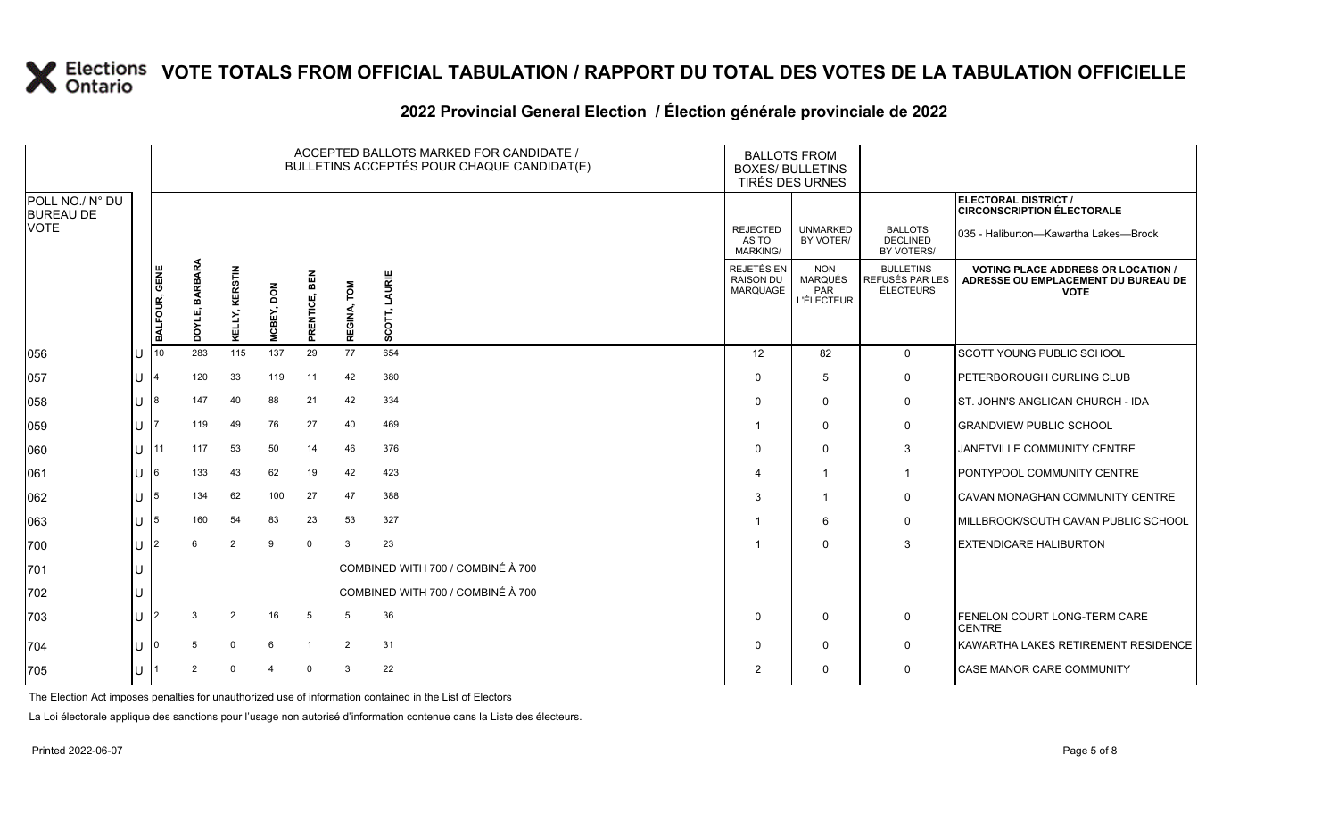#### **2022 Provincial General Election / Élection générale provinciale de 2022**

|                                     |    |                |                |                |            |                 |                | ACCEPTED BALLOTS MARKED FOR CANDIDATE /<br>BULLETINS ACCEPTÉS POUR CHAQUE CANDIDAT(E) | <b>BALLOTS FROM</b><br><b>BOXES/ BULLETINS</b>           | TIRÉS DES URNES                                                 |                                                  |                                                                                                 |
|-------------------------------------|----|----------------|----------------|----------------|------------|-----------------|----------------|---------------------------------------------------------------------------------------|----------------------------------------------------------|-----------------------------------------------------------------|--------------------------------------------------|-------------------------------------------------------------------------------------------------|
| POLL NO./ N° DU<br><b>BUREAU DE</b> |    |                |                |                |            |                 |                |                                                                                       |                                                          |                                                                 |                                                  | ELECTORAL DISTRICT /<br><b>CIRCONSCRIPTION ÉLECTORALE</b>                                       |
| <b>VOTE</b>                         |    |                |                |                |            |                 |                |                                                                                       | <b>REJECTED</b><br>AS TO<br><b>MARKING/</b>              | <b>UNMARKED</b><br>BY VOTER/                                    | <b>BALLOTS</b><br><b>DECLINED</b><br>BY VOTERS/  | 035 - Haliburton-Kawartha Lakes-Brock                                                           |
|                                     |    | BALFOUR, GENE  | DOYLE, BARBARA | KELLY, KERSTIN | MCBEY, DON | BEN<br>RENTICE, | LOW<br>REGINA, | LAURIE<br>SCOT,                                                                       | <b>REJETÉS EN</b><br><b>RAISON DU</b><br><b>MARQUAGE</b> | <b>NON</b><br><b>MARQUÉS</b><br><b>PAR</b><br><b>L'ÉLECTEUR</b> | <b>BULLETINS</b><br>REFUSÉS PAR LES<br>ÉLECTEURS | <b>VOTING PLACE ADDRESS OR LOCATION /</b><br>ADRESSE OU EMPLACEMENT DU BUREAU DE<br><b>VOTE</b> |
| 056                                 | lu | 10             | 283            | 115            | 137        | ᇍ<br>29         | 77             | 654                                                                                   | 12                                                       | 82                                                              | $\mathbf 0$                                      | SCOTT YOUNG PUBLIC SCHOOL                                                                       |
| 057                                 | lu |                | 120            | 33             | 119        | 11              | 42             | 380                                                                                   | $\Omega$                                                 | 5                                                               | 0                                                | PETERBOROUGH CURLING CLUB                                                                       |
| 058                                 | lU |                | 147            | 40             | 88         | 21              | 42             | 334                                                                                   | $\Omega$                                                 | $\Omega$                                                        | $\mathbf 0$                                      | IST. JOHN'S ANGLICAN CHURCH - IDA                                                               |
| 059                                 | lu |                | 119            | 49             | 76         | 27              | 40             | 469                                                                                   | -1                                                       | $\Omega$                                                        | $\mathbf 0$                                      | <b>GRANDVIEW PUBLIC SCHOOL</b>                                                                  |
| 060                                 | lu | 11             | 117            | 53             | 50         | 14              | 46             | 376                                                                                   | $\Omega$                                                 | $\mathbf{0}$                                                    | 3                                                | JANETVILLE COMMUNITY CENTRE                                                                     |
| 061                                 | lU |                | 133            | 43             | 62         | 19              | 42             | 423                                                                                   | $\overline{4}$                                           |                                                                 | $\mathbf{1}$                                     | PONTYPOOL COMMUNITY CENTRE                                                                      |
| 062                                 | lU | 5              | 134            | 62             | 100        | 27              | 47             | 388                                                                                   | 3                                                        |                                                                 | $\mathbf 0$                                      | CAVAN MONAGHAN COMMUNITY CENTRE                                                                 |
| 063                                 | lU | 5              | 160            | 54             | 83         | 23              | 53             | 327                                                                                   | $\mathbf 1$                                              | 6                                                               | $\mathbf 0$                                      | MILLBROOK/SOUTH CAVAN PUBLIC SCHOOL                                                             |
| 700                                 | lu |                | 6              | 2              | 9          | $\overline{0}$  | 3              | 23                                                                                    | -1                                                       | $\Omega$                                                        | 3                                                | <b>EXTENDICARE HALIBURTON</b>                                                                   |
| 701                                 | IU |                |                |                |            |                 |                | COMBINED WITH 700 / COMBINÉ À 700                                                     |                                                          |                                                                 |                                                  |                                                                                                 |
| 702                                 | IU |                |                |                |            |                 |                | COMBINED WITH 700 / COMBINÉ À 700                                                     |                                                          |                                                                 |                                                  |                                                                                                 |
| 703                                 | lu | $\overline{2}$ | 3              | 2              | 16         | 5               | 5              | 36                                                                                    | $\Omega$                                                 | $\mathbf{0}$                                                    | $\mathbf 0$                                      | <b>FENELON COURT LONG-TERM CARE</b><br><b>CENTRE</b>                                            |
| 704                                 | lu |                | 5              | $\Omega$       | 6          | $\overline{1}$  | 2              | 31                                                                                    | $\Omega$                                                 | $\mathbf{0}$                                                    | $\mathbf 0$                                      | KAWARTHA LAKES RETIREMENT RESIDENCE                                                             |
| 705                                 | lU |                | 2              |                | Δ          | $\mathbf 0$     | 3              | 22                                                                                    | 2                                                        | $\Omega$                                                        | $\mathbf{0}$                                     | <b>CASE MANOR CARE COMMUNITY</b>                                                                |

The Election Act imposes penalties for unauthorized use of information contained in the List of Electors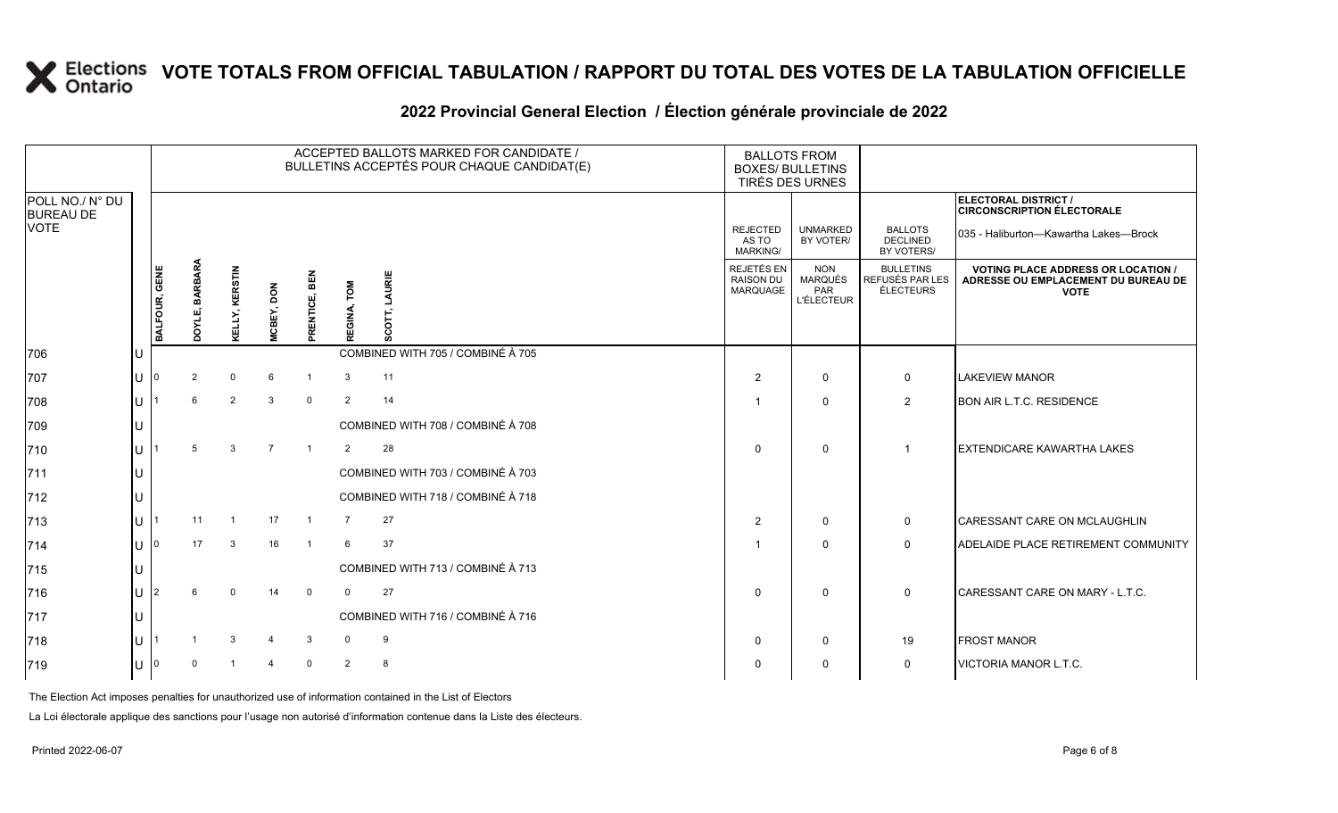### **2022 Provincial General Election / Élection générale provinciale de 2022**

|                                     |    |                      |                       |                |                |                      |                | ACCEPTED BALLOTS MARKED FOR CANDIDATE /<br>BULLETINS ACCEPTÉS POUR CHAQUE CANDIDAT(E) | <b>BALLOTS FROM</b><br><b>BOXES/ BULLETINS</b><br>TIRÉS DES URNES |                                                          |                                                         |                                                                                                 |
|-------------------------------------|----|----------------------|-----------------------|----------------|----------------|----------------------|----------------|---------------------------------------------------------------------------------------|-------------------------------------------------------------------|----------------------------------------------------------|---------------------------------------------------------|-------------------------------------------------------------------------------------------------|
| POLL NO./ N° DU<br><b>BUREAU DE</b> |    |                      |                       |                |                |                      |                |                                                                                       |                                                                   |                                                          |                                                         | ELECTORAL DISTRICT /<br><b>CIRCONSCRIPTION ÉLECTORALE</b>                                       |
| <b>VOTE</b>                         |    |                      |                       |                |                |                      |                |                                                                                       | <b>REJECTED</b><br>AS TO<br>MARKING/                              | <b>UNMARKED</b><br>BY VOTER/                             | <b>BALLOTS</b><br><b>DECLINED</b><br>BY VOTERS/         | 035 - Haliburton-Kawartha Lakes-Brock                                                           |
|                                     |    | <b>BALFOUR, GENE</b> | <b>DOYLE, BARBARA</b> | KELLY, KERSTIN | MCBEY, DON     | BEN<br>ENTICE,<br>Ē. | TOM<br>REGINA, | URIE<br>ň                                                                             | REJETÉS EN<br><b>RAISON DU</b><br><b>MARQUAGE</b>                 | <b>NON</b><br><b>MARQUÉS</b><br>PAR<br><b>L'ÉLECTEUR</b> | <b>BULLETINS</b><br>REFUSÉS PAR LES<br><b>ÉLECTEURS</b> | <b>VOTING PLACE ADDRESS OR LOCATION /</b><br>ADRESSE OU EMPLACEMENT DU BUREAU DE<br><b>VOTE</b> |
| 706                                 | IU |                      |                       |                |                |                      |                | COMBINED WITH 705 / COMBINÉ À 705                                                     |                                                                   |                                                          |                                                         |                                                                                                 |
| 707                                 | Iυ |                      | 2                     | $\Omega$       | 6              |                      | 3              | 11                                                                                    | $\mathcal{P}$                                                     | $\mathbf{0}$                                             | 0                                                       | <b>LAKEVIEW MANOR</b>                                                                           |
| 708                                 | IП |                      |                       | 2              | 3              | $\mathbf 0$          | $\overline{2}$ | 14                                                                                    |                                                                   | $\Omega$                                                 | $\overline{2}$                                          | <b>BON AIR L.T.C. RESIDENCE</b>                                                                 |
| 709                                 | ш  |                      |                       |                |                |                      |                | COMBINED WITH 708 / COMBINÉ À 708                                                     |                                                                   |                                                          |                                                         |                                                                                                 |
| 710                                 | lu |                      | 5                     | 3              | $\overline{7}$ | $\overline{1}$       | 2              | 28                                                                                    | $\Omega$                                                          | $\mathbf{0}$                                             | -1                                                      | <b>EXTENDICARE KAWARTHA LAKES</b>                                                               |
| $ 711$                              | lu |                      |                       |                |                |                      |                | COMBINED WITH 703 / COMBINÉ À 703                                                     |                                                                   |                                                          |                                                         |                                                                                                 |
| $ 712\rangle$                       | lu |                      |                       |                |                |                      |                | COMBINED WITH 718 / COMBINÉ À 718                                                     |                                                                   |                                                          |                                                         |                                                                                                 |
| 713                                 | lu |                      | 11                    |                | 17             | $\overline{1}$       | $\overline{7}$ | 27                                                                                    | 2                                                                 | $\mathbf{0}$                                             | 0                                                       | <b>CARESSANT CARE ON MCLAUGHLIN</b>                                                             |
| 714                                 | lu |                      | 17                    |                | 16             |                      | 6              | 37                                                                                    |                                                                   | $\mathbf{0}$                                             | $\mathbf 0$                                             | ADELAIDE PLACE RETIREMENT COMMUNITY                                                             |
| 715                                 | ш  |                      |                       |                |                |                      |                | COMBINED WITH 713 / COMBINÉ À 713                                                     |                                                                   |                                                          |                                                         |                                                                                                 |
| 716                                 | lu |                      |                       |                | 14             | $\mathbf 0$          | $\Omega$       | 27                                                                                    | $\Omega$                                                          | $\Omega$                                                 | $\mathbf 0$                                             | CARESSANT CARE ON MARY - L.T.C.                                                                 |
| 717                                 | Iυ |                      |                       |                |                |                      |                | COMBINED WITH 716 / COMBINÉ À 716                                                     |                                                                   |                                                          |                                                         |                                                                                                 |
| 718                                 | ш  |                      |                       | 3              |                | 3                    | $\Omega$       | 9                                                                                     | $\Omega$                                                          | $\Omega$                                                 | 19                                                      | <b>FROST MANOR</b>                                                                              |
| 719                                 | lu |                      | $\Omega$              |                |                | $\Omega$             | $\overline{2}$ | 8                                                                                     | $\Omega$                                                          | $\mathbf{0}$                                             | $\mathbf 0$                                             | VICTORIA MANOR L.T.C.                                                                           |

The Election Act imposes penalties for unauthorized use of information contained in the List of Electors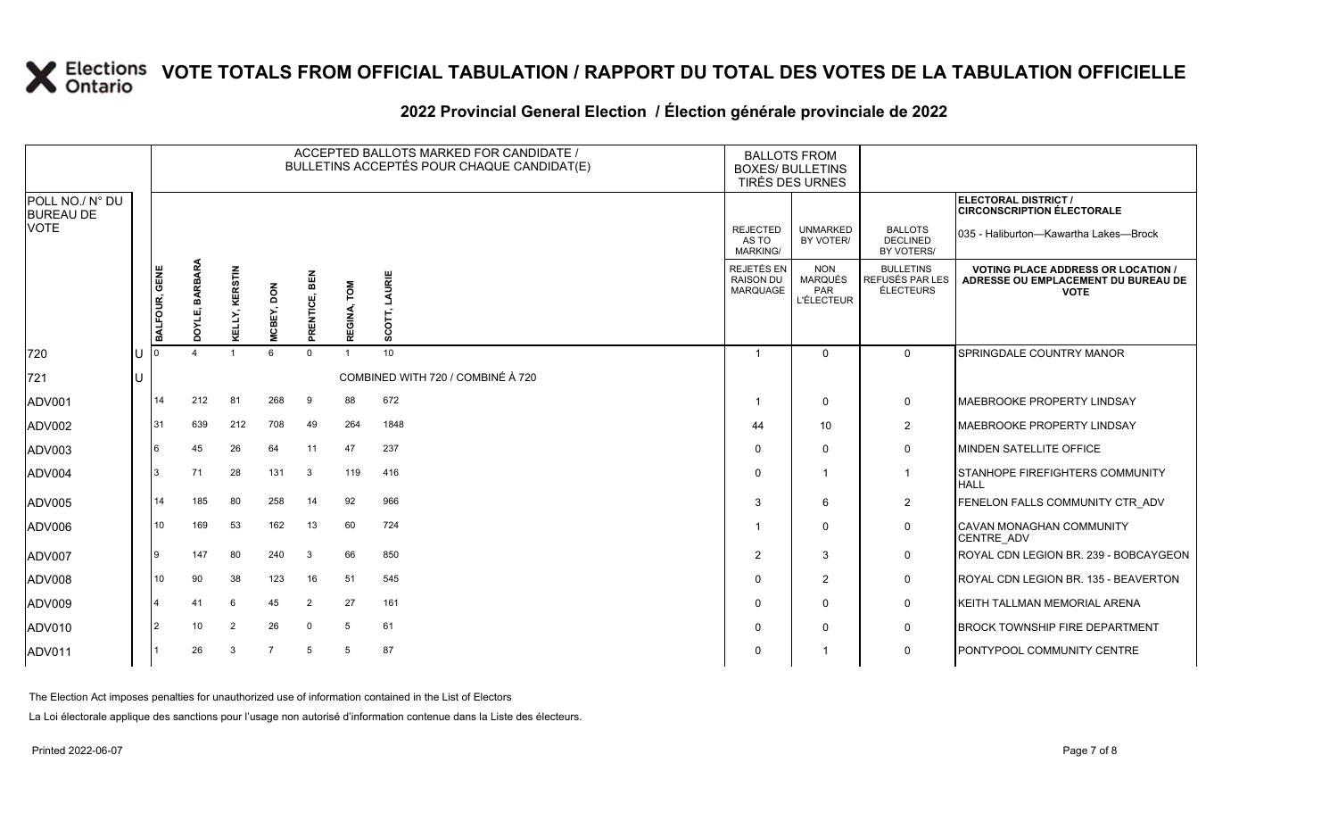|                                     |               |                   |                       |                 |                         |                | ACCEPTED BALLOTS MARKED FOR CANDIDATE /<br>BULLETINS ACCEPTÉS POUR CHAQUE CANDIDAT(E) | <b>BALLOTS FROM</b><br><b>BOXES/ BULLETINS</b><br>TIRÉS DES URNES |                                                   |                                                         |                                                                                                 |
|-------------------------------------|---------------|-------------------|-----------------------|-----------------|-------------------------|----------------|---------------------------------------------------------------------------------------|-------------------------------------------------------------------|---------------------------------------------------|---------------------------------------------------------|-------------------------------------------------------------------------------------------------|
| POLL NO./ N° DU<br><b>BUREAU DE</b> |               |                   |                       |                 |                         |                |                                                                                       |                                                                   |                                                   |                                                         | ELECTORAL DISTRICT /<br><b>CIRCONSCRIPTION ÉLECTORALE</b>                                       |
| <b>VOTE</b>                         |               |                   |                       |                 |                         |                |                                                                                       | <b>REJECTED</b><br>AS TO<br><b>MARKING/</b>                       | <b>UNMARKED</b><br>BY VOTER/                      | <b>BALLOTS</b><br><b>DECLINED</b><br>BY VOTERS/         | 035 - Haliburton-Kawartha Lakes-Brock                                                           |
|                                     | BALFOUR, GENE | BARBARA<br>DOYLE, | <b>KELLY, KERSTIN</b> | MCBEY, DON      | <b>BEN</b><br>PRENTICE, | TOM<br>REGINA, | LAURIE<br>SCOTT,                                                                      | REJETÉS EN<br><b>RAISON DU</b><br>MARQUAGE                        | <b>NON</b><br>MARQUÉS<br>PAR<br><b>L'ÉLECTEUR</b> | <b>BULLETINS</b><br>REFUSÉS PAR LES<br><b>ÉLECTEURS</b> | <b>VOTING PLACE ADDRESS OR LOCATION /</b><br>ADRESSE OU EMPLACEMENT DU BUREAU DE<br><b>VOTE</b> |
| 720                                 |               |                   | $\overline{1}$        | $6\overline{6}$ | $\Omega$                | $\overline{1}$ | 10                                                                                    | $\overline{1}$                                                    | $\mathbf 0$                                       | $\Omega$                                                | SPRINGDALE COUNTRY MANOR                                                                        |
| 721                                 |               |                   |                       |                 |                         |                | COMBINED WITH 720 / COMBINÉ À 720                                                     |                                                                   |                                                   |                                                         |                                                                                                 |
| ADV001                              | 14            | 212               | 81                    | 268             | -9                      | 88             | 672                                                                                   | -1                                                                | $\mathbf 0$                                       | $\mathbf 0$                                             | <b>MAEBROOKE PROPERTY LINDSAY</b>                                                               |
| ADV002                              | 31            | 639               | 212                   | 708             | 49                      | 264            | 1848                                                                                  | 44                                                                | 10                                                | $\overline{2}$                                          | <b>MAEBROOKE PROPERTY LINDSAY</b>                                                               |
| ADV003                              | 6             | 45                | 26                    | 64              | 11                      | 47             | 237                                                                                   | $\Omega$                                                          | $\Omega$                                          | $\mathbf 0$                                             | <b>MINDEN SATELLITE OFFICE</b>                                                                  |
| ADV004                              | 3             | 71                | 28                    | 131             | 3                       | 119            | 416                                                                                   | $\Omega$                                                          | $\overline{1}$                                    | $\overline{\mathbf{1}}$                                 | <b>ISTANHOPE FIREFIGHTERS COMMUNITY</b><br><b>HALL</b>                                          |
| ADV005                              | 14            | 185               | 80                    | 258             | 14                      | 92             | 966                                                                                   | 3                                                                 | 6                                                 | $\overline{2}$                                          | FENELON FALLS COMMUNITY CTR ADV                                                                 |
| ADV006                              | 10            | 169               | 53                    | 162             | 13                      | 60             | 724                                                                                   | -1                                                                | $\Omega$                                          | $\mathbf 0$                                             | <b>CAVAN MONAGHAN COMMUNITY</b><br>CENTRE ADV                                                   |
| ADV007                              | Ι9            | 147               | 80                    | 240             | 3                       | 66             | 850                                                                                   | $\overline{2}$                                                    | 3                                                 | $\mathbf 0$                                             | ROYAL CDN LEGION BR. 239 - BOBCAYGEON                                                           |
| <b>ADV008</b>                       | 10            | 90                | 38                    | 123             | 16                      | 51             | 545                                                                                   | $\Omega$                                                          | $\overline{2}$                                    | $\mathbf 0$                                             | ROYAL CDN LEGION BR. 135 - BEAVERTON                                                            |
| ADV009                              |               | 41                | 6                     | 45              | $\overline{2}$          | 27             | 161                                                                                   | $\Omega$                                                          | $\Omega$                                          | $\mathbf 0$                                             | KEITH TALLMAN MEMORIAL ARENA                                                                    |
| ADV010                              | 2             | 10                | 2                     | 26              | $\mathbf 0$             | 5              | 61                                                                                    | $\Omega$                                                          | $\mathbf 0$                                       | $\mathbf 0$                                             | <b>BROCK TOWNSHIP FIRE DEPARTMENT</b>                                                           |
| ADV011                              |               | 26                | 3                     | $\overline{7}$  | 5                       | 5              | 87                                                                                    | $\Omega$                                                          |                                                   | $\mathbf 0$                                             | PONTYPOOL COMMUNITY CENTRE                                                                      |
|                                     |               |                   |                       |                 |                         |                |                                                                                       |                                                                   |                                                   |                                                         |                                                                                                 |

#### **2022 Provincial General Election / Élection générale provinciale de 2022**

The Election Act imposes penalties for unauthorized use of information contained in the List of Electors

La Loi électorale applique des sanctions pour l'usage non autorisé d'information contenue dans la Liste des électeurs.